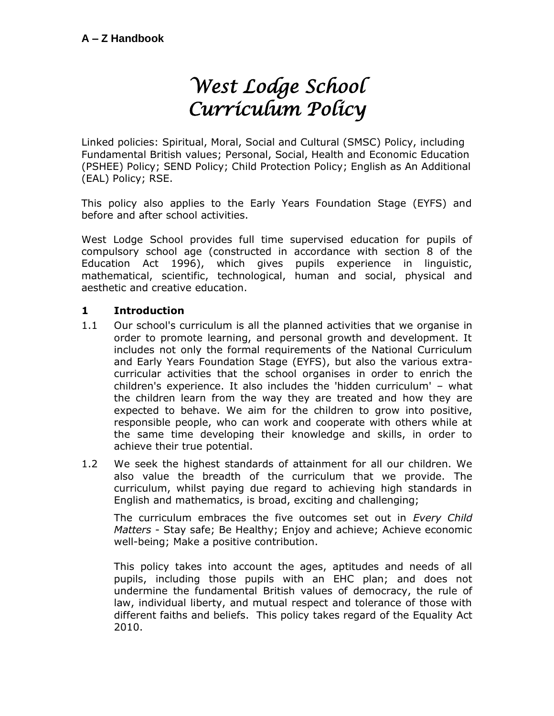# *West Lodge School Curriculum Policy*

Linked policies: Spiritual, Moral, Social and Cultural (SMSC) Policy, including Fundamental British values; Personal, Social, Health and Economic Education (PSHEE) Policy; SEND Policy; Child Protection Policy; English as An Additional (EAL) Policy; RSE.

This policy also applies to the Early Years Foundation Stage (EYFS) and before and after school activities.

West Lodge School provides full time supervised education for pupils of compulsory school age (constructed in accordance with section 8 of the Education Act 1996), which gives pupils experience in linguistic, mathematical, scientific, technological, human and social, physical and aesthetic and creative education.

## **1 Introduction**

- 1.1 Our school's curriculum is all the planned activities that we organise in order to promote learning, and personal growth and development. It includes not only the formal requirements of the National Curriculum and Early Years Foundation Stage (EYFS), but also the various extracurricular activities that the school organises in order to enrich the children's experience. It also includes the 'hidden curriculum' – what the children learn from the way they are treated and how they are expected to behave. We aim for the children to grow into positive, responsible people, who can work and cooperate with others while at the same time developing their knowledge and skills, in order to achieve their true potential.
- 1.2 We seek the highest standards of attainment for all our children. We also value the breadth of the curriculum that we provide. The curriculum, whilst paying due regard to achieving high standards in English and mathematics, is broad, exciting and challenging;

The curriculum embraces the five outcomes set out in *Every Child Matters* - Stay safe; Be Healthy; Enjoy and achieve; Achieve economic well-being; Make a positive contribution.

This policy takes into account the ages, aptitudes and needs of all pupils, including those pupils with an EHC plan; and does not undermine the fundamental British values of democracy, the rule of law, individual liberty, and mutual respect and tolerance of those with different faiths and beliefs. This policy takes regard of the Equality Act 2010.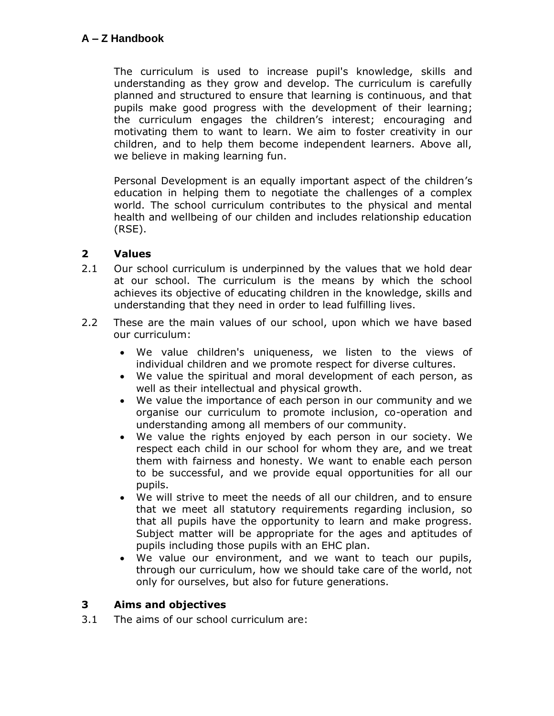The curriculum is used to increase pupil's knowledge, skills and understanding as they grow and develop. The curriculum is carefully planned and structured to ensure that learning is continuous, and that pupils make good progress with the development of their learning; the curriculum engages the children's interest; encouraging and motivating them to want to learn. We aim to foster creativity in our children, and to help them become independent learners. Above all, we believe in making learning fun.

Personal Development is an equally important aspect of the children's education in helping them to negotiate the challenges of a complex world. The school curriculum contributes to the physical and mental health and wellbeing of our childen and includes relationship education (RSE).

#### **2 Values**

- 2.1 Our school curriculum is underpinned by the values that we hold dear at our school. The curriculum is the means by which the school achieves its objective of educating children in the knowledge, skills and understanding that they need in order to lead fulfilling lives.
- 2.2 These are the main values of our school, upon which we have based our curriculum:
	- We value children's uniqueness, we listen to the views of individual children and we promote respect for diverse cultures.
	- We value the spiritual and moral development of each person, as well as their intellectual and physical growth.
	- We value the importance of each person in our community and we organise our curriculum to promote inclusion, co-operation and understanding among all members of our community.
	- We value the rights enjoyed by each person in our society. We respect each child in our school for whom they are, and we treat them with fairness and honesty. We want to enable each person to be successful, and we provide equal opportunities for all our pupils.
	- We will strive to meet the needs of all our children, and to ensure that we meet all statutory requirements regarding inclusion, so that all pupils have the opportunity to learn and make progress. Subject matter will be appropriate for the ages and aptitudes of pupils including those pupils with an EHC plan.
	- We value our environment, and we want to teach our pupils, through our curriculum, how we should take care of the world, not only for ourselves, but also for future generations.

## **3 Aims and objectives**

3.1 The aims of our school curriculum are: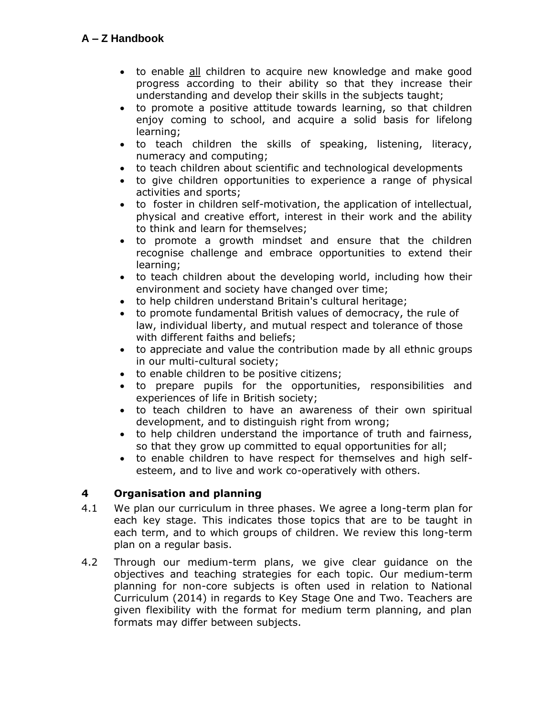- to enable all children to acquire new knowledge and make good progress according to their ability so that they increase their understanding and develop their skills in the subjects taught;
- to promote a positive attitude towards learning, so that children enjoy coming to school, and acquire a solid basis for lifelong learning;
- to teach children the skills of speaking, listening, literacy, numeracy and computing;
- to teach children about scientific and technological developments
- to give children opportunities to experience a range of physical activities and sports;
- to foster in children self-motivation, the application of intellectual, physical and creative effort, interest in their work and the ability to think and learn for themselves;
- to promote a growth mindset and ensure that the children recognise challenge and embrace opportunities to extend their learning;
- to teach children about the developing world, including how their environment and society have changed over time;
- to help children understand Britain's cultural heritage;
- to promote fundamental British values of democracy, the rule of law, individual liberty, and mutual respect and tolerance of those with different faiths and beliefs;
- to appreciate and value the contribution made by all ethnic groups in our multi-cultural society;
- to enable children to be positive citizens;
- to prepare pupils for the opportunities, responsibilities and experiences of life in British society;
- to teach children to have an awareness of their own spiritual development, and to distinguish right from wrong;
- to help children understand the importance of truth and fairness, so that they grow up committed to equal opportunities for all;
- to enable children to have respect for themselves and high selfesteem, and to live and work co-operatively with others.

# **4 Organisation and planning**

- 4.1 We plan our curriculum in three phases. We agree a long-term plan for each key stage. This indicates those topics that are to be taught in each term, and to which groups of children. We review this long-term plan on a regular basis.
- 4.2 Through our medium-term plans, we give clear guidance on the objectives and teaching strategies for each topic. Our medium-term planning for non-core subjects is often used in relation to National Curriculum (2014) in regards to Key Stage One and Two. Teachers are given flexibility with the format for medium term planning, and plan formats may differ between subjects.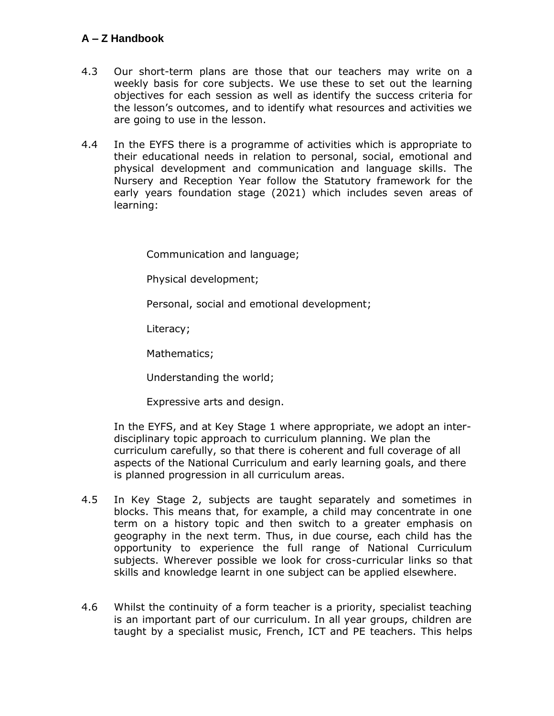- 4.3 Our short-term plans are those that our teachers may write on a weekly basis for core subjects. We use these to set out the learning objectives for each session as well as identify the success criteria for the lesson's outcomes, and to identify what resources and activities we are going to use in the lesson.
- 4.4 In the EYFS there is a programme of activities which is appropriate to their educational needs in relation to personal, social, emotional and physical development and communication and language skills. The Nursery and Reception Year follow the Statutory framework for the early years foundation stage (2021) which includes seven areas of learning:

Communication and language;

Physical development;

Personal, social and emotional development;

Literacy;

Mathematics;

Understanding the world;

Expressive arts and design.

In the EYFS, and at Key Stage 1 where appropriate, we adopt an interdisciplinary topic approach to curriculum planning. We plan the curriculum carefully, so that there is coherent and full coverage of all aspects of the National Curriculum and early learning goals, and there is planned progression in all curriculum areas.

- 4.5 In Key Stage 2, subjects are taught separately and sometimes in blocks. This means that, for example, a child may concentrate in one term on a history topic and then switch to a greater emphasis on geography in the next term. Thus, in due course, each child has the opportunity to experience the full range of National Curriculum subjects. Wherever possible we look for cross-curricular links so that skills and knowledge learnt in one subject can be applied elsewhere.
- 4.6 Whilst the continuity of a form teacher is a priority, specialist teaching is an important part of our curriculum. In all year groups, children are taught by a specialist music, French, ICT and PE teachers. This helps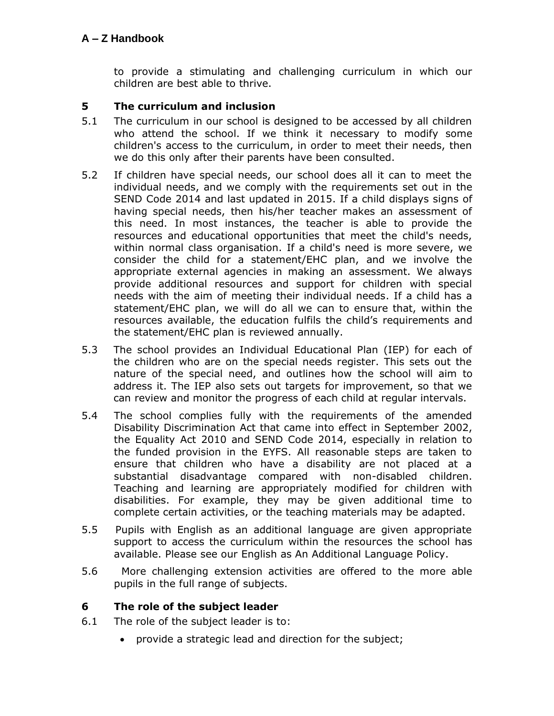to provide a stimulating and challenging curriculum in which our children are best able to thrive.

## **5 The curriculum and inclusion**

- 5.1 The curriculum in our school is designed to be accessed by all children who attend the school. If we think it necessary to modify some children's access to the curriculum, in order to meet their needs, then we do this only after their parents have been consulted.
- 5.2 If children have special needs, our school does all it can to meet the individual needs, and we comply with the requirements set out in the SEND Code 2014 and last updated in 2015. If a child displays signs of having special needs, then his/her teacher makes an assessment of this need. In most instances, the teacher is able to provide the resources and educational opportunities that meet the child's needs, within normal class organisation. If a child's need is more severe, we consider the child for a statement/EHC plan, and we involve the appropriate external agencies in making an assessment. We always provide additional resources and support for children with special needs with the aim of meeting their individual needs. If a child has a statement/EHC plan, we will do all we can to ensure that, within the resources available, the education fulfils the child's requirements and the statement/EHC plan is reviewed annually.
- 5.3 The school provides an Individual Educational Plan (IEP) for each of the children who are on the special needs register. This sets out the nature of the special need, and outlines how the school will aim to address it. The IEP also sets out targets for improvement, so that we can review and monitor the progress of each child at regular intervals.
- 5.4 The school complies fully with the requirements of the amended Disability Discrimination Act that came into effect in September 2002, the Equality Act 2010 and SEND Code 2014, especially in relation to the funded provision in the EYFS. All reasonable steps are taken to ensure that children who have a disability are not placed at a substantial disadvantage compared with non-disabled children. Teaching and learning are appropriately modified for children with disabilities. For example, they may be given additional time to complete certain activities, or the teaching materials may be adapted.
- 5.5 Pupils with English as an additional language are given appropriate support to access the curriculum within the resources the school has available. Please see our English as An Additional Language Policy.
- 5.6 More challenging extension activities are offered to the more able pupils in the full range of subjects.

## **6 The role of the subject leader**

- 6.1 The role of the subject leader is to:
	- provide a strategic lead and direction for the subject;